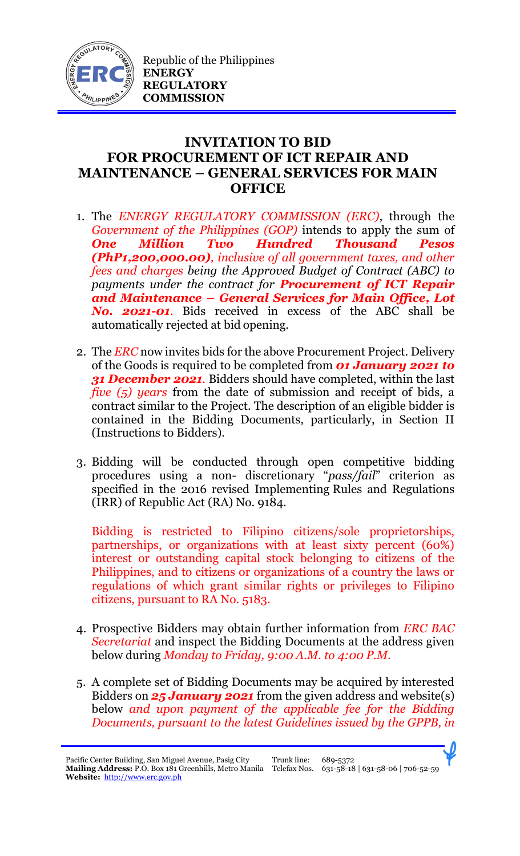

## **INVITATION TO BID FOR PROCUREMENT OF ICT REPAIR AND MAINTENANCE – GENERAL SERVICES FOR MAIN OFFICE**

- 1. The *ENERGY REGULATORY COMMISSION (ERC)*, through the *Government of the Philippines (GOP)* intends to apply the sum of *One Million Two Hundred Thousand Pesos (PhP1,200,000.00), inclusive of all government taxes, and other fees and charges being the Approved Budget of Contract (ABC) to payments under the contract for Procurement of ICT Repair and Maintenance – General Services for Main Office, Lot No. 2021-01.* Bids received in excess of the ABC shall be automatically rejected at bid opening.
- 2. The *ERC* now invites bids for the above Procurement Project. Delivery of the Goods is required to be completed from *01 January 2021 to 31 December 2021.* Bidders should have completed, within the last *five (5) years* from the date of submission and receipt of bids, a contract similar to the Project. The description of an eligible bidder is contained in the Bidding Documents, particularly, in Section II (Instructions to Bidders).
- 3. Bidding will be conducted through open competitive bidding procedures using a non- discretionary "*pass/fail*" criterion as specified in the 2016 revised Implementing Rules and Regulations (IRR) of Republic Act (RA) No. 9184.

Bidding is restricted to Filipino citizens/sole proprietorships, partnerships, or organizations with at least sixty percent (60%) interest or outstanding capital stock belonging to citizens of the Philippines, and to citizens or organizations of a country the laws or regulations of which grant similar rights or privileges to Filipino citizens, pursuant to RA No. 5183.

- 4. Prospective Bidders may obtain further information from *ERC BAC Secretariat* and inspect the Bidding Documents at the address given below during *Monday to Friday, 9:00 A.M. to 4:00 P.M*.
- 5. A complete set of Bidding Documents may be acquired by interested Bidders on *25 January 2021* from the given address and website(s) below *and upon payment of the applicable fee for the Bidding Documents, pursuant to the latest Guidelines issued by the GPPB, in*

Pacific Center Building, San Miguel Avenue, Pasig City **Mailing Address:** P.O. Box 181 Greenhills, Metro Manila Telefax Nos. 631-58-18 | 631-58-06 | 706-52-59 **Website:** [http://www.erc.gov.ph](http://www.erc.gov.ph/) 

Trunk line: 689-5372

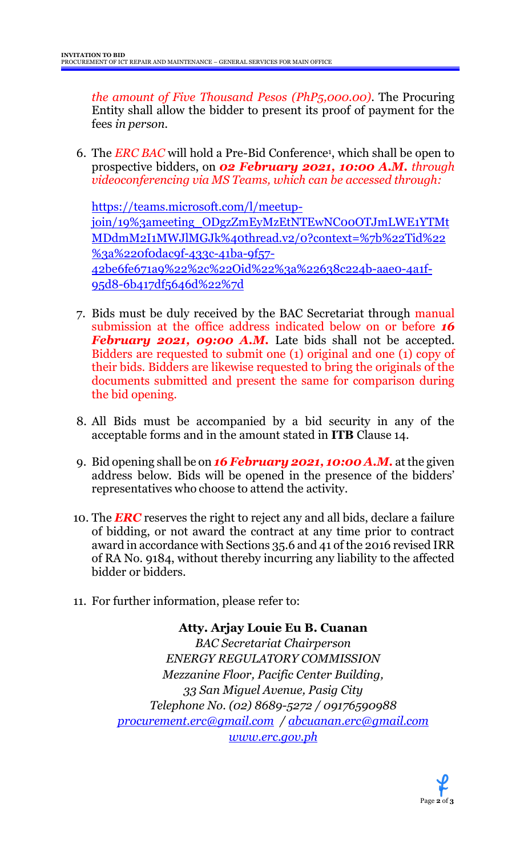*the amount of Five Thousand Pesos (PhP5,000.00)*. The Procuring Entity shall allow the bidder to present its proof of payment for the fees *in person.*

6. The *ERC BAC* will hold a Pre-Bid Conference<sup>1</sup> , which shall be open to prospective bidders, on *02 February 2021, 10:00 A.M. through videoconferencing via MS Teams, which can be accessed through:*

[https://teams.microsoft.com/l/meetup](https://teams.microsoft.com/l/meetup-join/19%3ameeting_ODgzZmEyMzEtNTEwNC00OTJmLWE1YTMtMDdmM2I1MWJlMGJk%40thread.v2/0?context=%7b%22Tid%22%3a%220f0dac9f-433c-41ba-9f57-42be6fe671a9%22%2c%22Oid%22%3a%22638c224b-aae0-4a1f-95d8-6b417df5646d%22%7d)[join/19%3ameeting\\_ODgzZmEyMzEtNTEwNC00OTJmLWE1YTMt](https://teams.microsoft.com/l/meetup-join/19%3ameeting_ODgzZmEyMzEtNTEwNC00OTJmLWE1YTMtMDdmM2I1MWJlMGJk%40thread.v2/0?context=%7b%22Tid%22%3a%220f0dac9f-433c-41ba-9f57-42be6fe671a9%22%2c%22Oid%22%3a%22638c224b-aae0-4a1f-95d8-6b417df5646d%22%7d) [MDdmM2I1MWJlMGJk%40thread.v2/0?context=%7b%22Tid%22](https://teams.microsoft.com/l/meetup-join/19%3ameeting_ODgzZmEyMzEtNTEwNC00OTJmLWE1YTMtMDdmM2I1MWJlMGJk%40thread.v2/0?context=%7b%22Tid%22%3a%220f0dac9f-433c-41ba-9f57-42be6fe671a9%22%2c%22Oid%22%3a%22638c224b-aae0-4a1f-95d8-6b417df5646d%22%7d) [%3a%220f0dac9f-433c-41ba-9f57-](https://teams.microsoft.com/l/meetup-join/19%3ameeting_ODgzZmEyMzEtNTEwNC00OTJmLWE1YTMtMDdmM2I1MWJlMGJk%40thread.v2/0?context=%7b%22Tid%22%3a%220f0dac9f-433c-41ba-9f57-42be6fe671a9%22%2c%22Oid%22%3a%22638c224b-aae0-4a1f-95d8-6b417df5646d%22%7d) [42be6fe671a9%22%2c%22Oid%22%3a%22638c224b-aae0-4a1f-](https://teams.microsoft.com/l/meetup-join/19%3ameeting_ODgzZmEyMzEtNTEwNC00OTJmLWE1YTMtMDdmM2I1MWJlMGJk%40thread.v2/0?context=%7b%22Tid%22%3a%220f0dac9f-433c-41ba-9f57-42be6fe671a9%22%2c%22Oid%22%3a%22638c224b-aae0-4a1f-95d8-6b417df5646d%22%7d)[95d8-6b417df5646d%22%7d](https://teams.microsoft.com/l/meetup-join/19%3ameeting_ODgzZmEyMzEtNTEwNC00OTJmLWE1YTMtMDdmM2I1MWJlMGJk%40thread.v2/0?context=%7b%22Tid%22%3a%220f0dac9f-433c-41ba-9f57-42be6fe671a9%22%2c%22Oid%22%3a%22638c224b-aae0-4a1f-95d8-6b417df5646d%22%7d)

- 7. Bids must be duly received by the BAC Secretariat through manual submission at the office address indicated below on or before *16 February 2021, 09:00 A.M.* Late bids shall not be accepted. Bidders are requested to submit one (1) original and one (1) copy of their bids. Bidders are likewise requested to bring the originals of the documents submitted and present the same for comparison during the bid opening.
- 8. All Bids must be accompanied by a bid security in any of the acceptable forms and in the amount stated in **ITB** Clause 14.
- 9. Bid opening shall be on *16 February 2021, 10:00 A.M.* at the given address below. Bids will be opened in the presence of the bidders' representatives who choose to attend the activity.
- 10. The *ERC* reserves the right to reject any and all bids, declare a failure of bidding, or not award the contract at any time prior to contract award in accordance with Sections 35.6 and 41 of the 2016 revised IRR of RA No. 9184, without thereby incurring any liability to the affected bidder or bidders.
- 11. For further information, please refer to:

**Atty. Arjay Louie Eu B. Cuanan** *BAC Secretariat Chairperson ENERGY REGULATORY COMMISSION Mezzanine Floor, Pacific Center Building, 33 San Miguel Avenue, Pasig City Telephone No. (02) 8689-5272 / 09176590988 [procurement.erc@gmail.com](mailto:procurement.erc@gmail.com) / [abcuanan.erc@gmail.com](mailto:abcuanan.erc@gmail.com) [www.erc.gov.ph](http://www.erc.gov.ph/)*